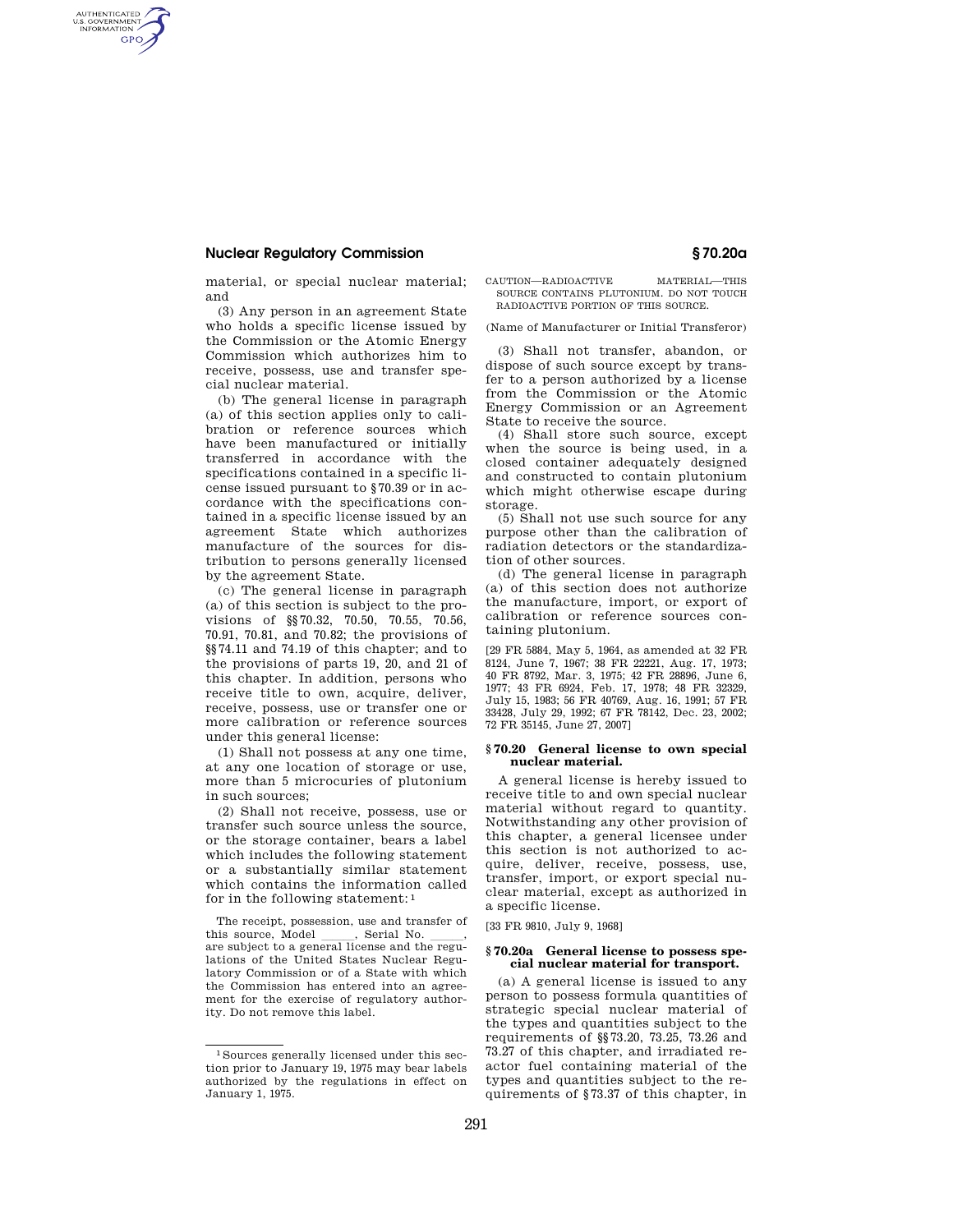# **Nuclear Regulatory Commission § 70.20a**

AUTHENTICATED<br>U.S. GOVERNMENT<br>INFORMATION **GPO** 

> material, or special nuclear material; and

> (3) Any person in an agreement State who holds a specific license issued by the Commission or the Atomic Energy Commission which authorizes him to receive, possess, use and transfer special nuclear material.

> (b) The general license in paragraph (a) of this section applies only to calibration or reference sources which have been manufactured or initially transferred in accordance with the specifications contained in a specific license issued pursuant to §70.39 or in accordance with the specifications contained in a specific license issued by an agreement State which authorizes manufacture of the sources for distribution to persons generally licensed by the agreement State.

> (c) The general license in paragraph (a) of this section is subject to the provisions of §§70.32, 70.50, 70.55, 70.56, 70.91, 70.81, and 70.82; the provisions of §§74.11 and 74.19 of this chapter; and to the provisions of parts 19, 20, and 21 of this chapter. In addition, persons who receive title to own, acquire, deliver, receive, possess, use or transfer one or more calibration or reference sources under this general license:

(1) Shall not possess at any one time, at any one location of storage or use, more than 5 microcuries of plutonium in such sources;

(2) Shall not receive, possess, use or transfer such source unless the source, or the storage container, bears a label which includes the following statement or a substantially similar statement which contains the information called for in the following statement: 1

The receipt, possession, use and transfer of this source, Model \_\_\_\_\_, Serial No. \_\_\_\_,<br>are subject to a general license and the regulations of the United States Nuclear Regulatory Commission or of a State with which the Commission has entered into an agreement for the exercise of regulatory authority. Do not remove this label.

### CAUTION—RADIOACTIVE MATERIAL—THIS SOURCE CONTAINS PLUTONIUM. DO NOT TOUCH RADIOACTIVE PORTION OF THIS SOURCE.

(Name of Manufacturer or Initial Transferor)

(3) Shall not transfer, abandon, or dispose of such source except by transfer to a person authorized by a license from the Commission or the Atomic Energy Commission or an Agreement State to receive the source.

(4) Shall store such source, except when the source is being used, in a closed container adequately designed and constructed to contain plutonium which might otherwise escape during storage.

(5) Shall not use such source for any purpose other than the calibration of radiation detectors or the standardization of other sources.

(d) The general license in paragraph (a) of this section does not authorize the manufacture, import, or export of calibration or reference sources containing plutonium.

[29 FR 5884, May 5, 1964, as amended at 32 FR 8124, June 7, 1967; 38 FR 22221, Aug. 17, 1973; 40 FR 8792, Mar. 3, 1975; 42 FR 28896, June 6, 1977; 43 FR 6924, Feb. 17, 1978; 48 FR 32329, July 15, 1983; 56 FR 40769, Aug. 16, 1991; 57 FR 33428, July 29, 1992; 67 FR 78142, Dec. 23, 2002; 72 FR 35145, June 27, 2007]

## **§ 70.20 General license to own special nuclear material.**

A general license is hereby issued to receive title to and own special nuclear material without regard to quantity. Notwithstanding any other provision of this chapter, a general licensee under this section is not authorized to acquire, deliver, receive, possess, use, transfer, import, or export special nuclear material, except as authorized in a specific license.

[33 FR 9810, July 9, 1968]

## **§ 70.20a General license to possess special nuclear material for transport.**

(a) A general license is issued to any person to possess formula quantities of strategic special nuclear material of the types and quantities subject to the requirements of §§73.20, 73.25, 73.26 and 73.27 of this chapter, and irradiated reactor fuel containing material of the types and quantities subject to the requirements of §73.37 of this chapter, in

<sup>1</sup> Sources generally licensed under this section prior to January 19, 1975 may bear labels authorized by the regulations in effect on January 1, 1975.